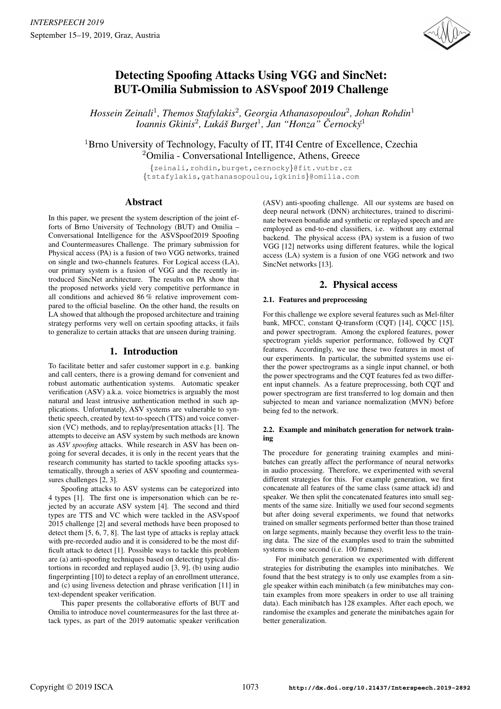

# Detecting Spoofing Attacks Using VGG and SincNet: BUT-Omilia Submission to ASVspoof 2019 Challenge

*Hossein Zeinali*<sup>1</sup> *, Themos Stafylakis*<sup>2</sup> *, Georgia Athanasopoulou*<sup>2</sup> *, Johan Rohdin*<sup>1</sup> *Ioannis Gkinis*<sup>2</sup> *, Luka´s Burget ˇ* 1 *, Jan "Honza" Cernock ˇ y´* 1

<sup>1</sup>Brno University of Technology, Faculty of IT, IT4I Centre of Excellence, Czechia <sup>2</sup>Omilia - Conversational Intelligence, Athens, Greece

> {zeinali,rohdin,burget,cernocky}@fit.vutbr.cz {tstafylakis,gathanasopoulou,igkinis}@omilia.com

# Abstract

In this paper, we present the system description of the joint efforts of Brno University of Technology (BUT) and Omilia – Conversational Intelligence for the ASVSpoof2019 Spoofing and Countermeasures Challenge. The primary submission for Physical access (PA) is a fusion of two VGG networks, trained on single and two-channels features. For Logical access (LA), our primary system is a fusion of VGG and the recently introduced SincNet architecture. The results on PA show that the proposed networks yield very competitive performance in all conditions and achieved 86 % relative improvement compared to the official baseline. On the other hand, the results on LA showed that although the proposed architecture and training strategy performs very well on certain spoofing attacks, it fails to generalize to certain attacks that are unseen during training.

# 1. Introduction

To facilitate better and safer customer support in e.g. banking and call centers, there is a growing demand for convenient and robust automatic authentication systems. Automatic speaker verification (ASV) a.k.a. voice biometrics is arguably the most natural and least intrusive authentication method in such applications. Unfortunately, ASV systems are vulnerable to synthetic speech, created by text-to-speech (TTS) and voice conversion (VC) methods, and to replay/presentation attacks [1]. The attempts to deceive an ASV system by such methods are known as *ASV spoofing* attacks. While research in ASV has been ongoing for several decades, it is only in the recent years that the research community has started to tackle spoofing attacks systematically, through a series of ASV spoofing and countermeasures challenges [2, 3].

Spoofing attacks to ASV systems can be categorized into 4 types [1]. The first one is impersonation which can be rejected by an accurate ASV system [4]. The second and third types are TTS and VC which were tackled in the ASVspoof 2015 challenge [2] and several methods have been proposed to detect them [5, 6, 7, 8]. The last type of attacks is replay attack with pre-recorded audio and it is considered to be the most difficult attack to detect [1]. Possible ways to tackle this problem are (a) anti-spoofing techniques based on detecting typical distortions in recorded and replayed audio [3, 9], (b) using audio fingerprinting [10] to detect a replay of an enrollment utterance, and (c) using liveness detection and phrase verification [11] in text-dependent speaker verification.

This paper presents the collaborative efforts of BUT and Omilia to introduce novel countermeasures for the last three attack types, as part of the 2019 automatic speaker verification (ASV) anti-spoofing challenge. All our systems are based on deep neural network (DNN) architectures, trained to discriminate between bonafide and synthetic or replayed speech and are employed as end-to-end classifiers, i.e. without any external backend. The physical access (PA) system is a fusion of two VGG [12] networks using different features, while the logical access (LA) system is a fusion of one VGG network and two SincNet networks [13].

# 2. Physical access

# 2.1. Features and preprocessing

For this challenge we explore several features such as Mel-filter bank, MFCC, constant Q-transform (CQT) [14], CQCC [15], and power spectrogram. Among the explored features, power spectrogram yields superior performance, followed by CQT features. Accordingly, we use these two features in most of our experiments. In particular, the submitted systems use either the power spectrograms as a single input channel, or both the power spectrograms and the CQT features fed as two different input channels. As a feature preprocessing, both CQT and power spectrogram are first transferred to log domain and then subjected to mean and variance normalization (MVN) before being fed to the network.

## 2.2. Example and minibatch generation for network training

The procedure for generating training examples and minibatches can greatly affect the performance of neural networks in audio processing. Therefore, we experimented with several different strategies for this. For example generation, we first concatenate all features of the same class (same attack id) and speaker. We then split the concatenated features into small segments of the same size. Initially we used four second segments but after doing several experiments, we found that networks trained on smaller segments performed better than those trained on large segments, mainly because they overfit less to the training data. The size of the examples used to train the submitted systems is one second (i.e. 100 frames).

For minibatch generation we experimented with different strategies for distributing the examples into minibatches. We found that the best strategy is to only use examples from a single speaker within each minibatch (a few minibatches may contain examples from more speakers in order to use all training data). Each minibatch has 128 examples. After each epoch, we randomise the examples and generate the minibatches again for better generalization.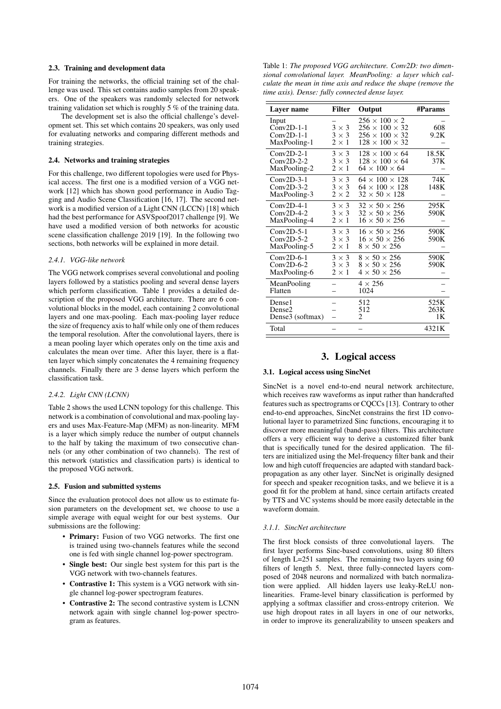## 2.3. Training and development data

For training the networks, the official training set of the challenge was used. This set contains audio samples from 20 speakers. One of the speakers was randomly selected for network training validation set which is roughly 5 % of the training data.

The development set is also the official challenge's development set. This set which contains 20 speakers, was only used for evaluating networks and comparing different methods and training strategies.

#### 2.4. Networks and training strategies

For this challenge, two different topologies were used for Physical access. The first one is a modified version of a VGG network [12] which has shown good performance in Audio Tagging and Audio Scene Classification [16, 17]. The second network is a modified version of a Light CNN (LCCN) [18] which had the best performance for ASVSpoof2017 challenge [9]. We have used a modified version of both networks for acoustic scene classification challenge 2019 [19]. In the following two sections, both networks will be explained in more detail.

#### *2.4.1. VGG-like network*

The VGG network comprises several convolutional and pooling layers followed by a statistics pooling and several dense layers which perform classification. Table 1 provides a detailed description of the proposed VGG architecture. There are 6 convolutional blocks in the model, each containing 2 convolutional layers and one max-pooling. Each max-pooling layer reduce the size of frequency axis to half while only one of them reduces the temporal resolution. After the convolutional layers, there is a mean pooling layer which operates only on the time axis and calculates the mean over time. After this layer, there is a flatten layer which simply concatenates the 4 remaining frequency channels. Finally there are 3 dense layers which perform the classification task.

#### *2.4.2. Light CNN (LCNN)*

Table 2 shows the used LCNN topology for this challenge. This network is a combination of convolutional and max-pooling layers and uses Max-Feature-Map (MFM) as non-linearity. MFM is a layer which simply reduce the number of output channels to the half by taking the maximum of two consecutive channels (or any other combination of two channels). The rest of this network (statistics and classification parts) is identical to the proposed VGG network.

### 2.5. Fusion and submitted systems

Since the evaluation protocol does not allow us to estimate fusion parameters on the development set, we choose to use a simple average with equal weight for our best systems. Our submissions are the following:

- Primary: Fusion of two VGG networks. The first one is trained using two-channels features while the second one is fed with single channel log-power spectrogram.
- Single best: Our single best system for this part is the VGG network with two-channels features.
- Contrastive 1: This system is a VGG network with single channel log-power spectrogram features.
- Contrastive 2: The second contrastive system is LCNN network again with single channel log-power spectrogram as features.

Table 1: *The proposed VGG architecture. Conv2D: two dimensional convolutional layer. MeanPooling: a layer which calculate the mean in time axis and reduce the shape (remove the time axis). Dense: fully connected dense layer.*

| Layer name                                            | <b>Filter</b>                                | Output                                                                                                              | #Params            |
|-------------------------------------------------------|----------------------------------------------|---------------------------------------------------------------------------------------------------------------------|--------------------|
| Input<br>$Conv2D-1-1$<br>$Conv2D-1-1$<br>MaxPooling-1 | $3 \times 3$<br>$3 \times 3$<br>$2 \times 1$ | $256 \times 100 \times 2$<br>$256 \times 100 \times 32$<br>$256 \times 100 \times 32$<br>$128 \times 100 \times 32$ | 608<br>9.2K        |
| $Conv2D-2-1$<br>$Conv2D-2-2$<br>MaxPooling-2          | $3 \times 3$<br>$3 \times 3$<br>$2\times1$   | $128 \times 100 \times 64$<br>$128 \times 100 \times 64$<br>$64 \times 100 \times 64$                               | 18.5K<br>37K       |
| $Conv2D-3-1$<br>$Conv2D-3-2$<br>MaxPooling-3          | $3 \times 3$<br>$3 \times 3$<br>$2 \times 2$ | $64 \times 100 \times 128$<br>$64 \times 100 \times 128$<br>$32 \times 50 \times 128$                               | 74K<br>148K        |
| $Conv2D-4-1$<br>$Conv2D-4-2$<br>MaxPooling-4          | $3 \times 3$<br>$3 \times 3$<br>$2 \times 1$ | $32 \times 50 \times 256$<br>$32 \times 50 \times 256$<br>$16 \times 50 \times 256$                                 | 295K<br>590K       |
| $Conv2D-5-1$<br>$Conv2D-5-2$<br>MaxPooling-5          | $3 \times 3$<br>$3 \times 3$<br>$2\times1$   | $16 \times 50 \times 256$<br>$16 \times 50 \times 256$<br>$8 \times 50 \times 256$                                  | 590K<br>590K       |
| $Conv2D-6-1$<br>$Conv2D-6-2$<br>MaxPooling-6          | $3 \times 3$<br>$3 \times 3$<br>$2 \times 1$ | $8 \times 50 \times 256$<br>$8 \times 50 \times 256$<br>$4 \times 50 \times 256$                                    | 590K<br>590K       |
| MeanPooling<br>Flatten                                |                                              | $4 \times 256$<br>1024                                                                                              |                    |
| Dense1<br>Dense <sub>2</sub><br>Dense3 (softmax)      |                                              | 512<br>512<br>2                                                                                                     | 525K<br>263K<br>1K |
| Total                                                 |                                              |                                                                                                                     | 4321K              |

# 3. Logical access

## 3.1. Logical access using SincNet

SincNet is a novel end-to-end neural network architecture, which receives raw waveforms as input rather than handcrafted features such as spectrograms or CQCCs [13]. Contrary to other end-to-end approaches, SincNet constrains the first 1D convolutional layer to parametrized Sinc functions, encouraging it to discover more meaningful (band-pass) filters. This architecture offers a very efficient way to derive a customized filter bank that is specifically tuned for the desired application. The filters are initialized using the Mel-frequency filter bank and their low and high cutoff frequencies are adapted with standard backpropagation as any other layer. SincNet is originally designed for speech and speaker recognition tasks, and we believe it is a good fit for the problem at hand, since certain artifacts created by TTS and VC systems should be more easily detectable in the waveform domain.

#### *3.1.1. SincNet architecture*

The first block consists of three convolutional layers. The first layer performs Sinc-based convolutions, using 80 filters of length L=251 samples. The remaining two layers using 60 filters of length 5. Next, three fully-connected layers composed of 2048 neurons and normalized with batch normalization were applied. All hidden layers use leaky-ReLU nonlinearities. Frame-level binary classification is performed by applying a softmax classifier and cross-entropy criterion. We use high dropout rates in all layers in one of our networks, in order to improve its generalizability to unseen speakers and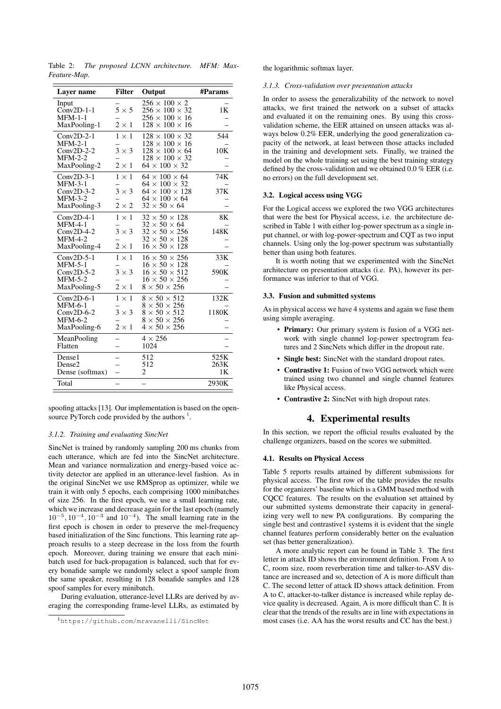| Layer name                                                                       | <b>Filter</b>                                | Output                                                                                                                                            | #Params            |
|----------------------------------------------------------------------------------|----------------------------------------------|---------------------------------------------------------------------------------------------------------------------------------------------------|--------------------|
| Input<br>$Conv2D-1-1$<br>$MFM-1-1$<br>MaxPooling-1                               | $5 \times 5$<br>$2 \times 1$                 | $256 \times 100 \times 2$<br>$256 \times 100 \times 32$<br>$256 \times 100 \times 16$<br>$128 \times 100 \times 16$                               | 1K                 |
| $Conv2D-2-1$<br>$MFM-2-1$<br>$Conv2D-2-2$<br>$MFM-2-2$<br>MaxPooling-2           | $1 \times 1$<br>$3 \times 3$<br>$2 \times 1$ | $128 \times 100 \times 32$<br>$128 \times 100 \times 16$<br>$128 \times 100 \times 64$<br>$128 \times 100 \times 32$<br>$64 \times 100 \times 32$ | 544<br>10K         |
| $Conv2D-3-1$<br><b>MFM-3-1</b><br>$Conv2D-3-2$<br>$MFM-3-2$<br>MaxPooling-3      | $1 \times 1$<br>$3 \times 3$<br>$2 \times 2$ | $64 \times 100 \times 64$<br>$64 \times 100 \times 32$<br>$64 \times 100 \times 128$<br>$64 \times 100 \times 64$<br>$32 \times 50 \times 64$     | 74K<br>37K         |
| $Conv2D-4-1$<br>$MFM-4-1$<br>$Conv2D-4-2$<br>$MFM-4-2$<br>MaxPooling-4           | $1 \times 1$<br>$3 \times 3$<br>$2 \times 1$ | $32 \times 50 \times 128$<br>$32 \times 50 \times 64$<br>$32 \times 50 \times 256$<br>$32 \times 50 \times 128$<br>$16 \times 50 \times 128$      | 8K<br>148K         |
| $Conv2D-5-1$<br>$MFM-5-1$<br>$Conv2D-5-2$<br>$MFM-5-2$<br>MaxPooling-5           | $1 \times 1$<br>$3 \times 3$<br>$2 \times 1$ | $16 \times 50 \times 256$<br>$16\times50\times128$<br>$16 \times 50 \times 512$<br>$16 \times 50 \times 256$<br>$8 \times 50 \times 256$          | 33K<br>590K        |
| $Conv2D-6-1$<br><b>MFM-6-1</b><br>$Conv2D-6-2$<br><b>MFM-6-2</b><br>MaxPooling-6 | $1 \times 1$<br>$3 \times 3$<br>$2 \times 1$ | $8 \times 50 \times 512$<br>$8 \times 50 \times 256$<br>$8 \times 50 \times 512$<br>$8 \times 50 \times 256$<br>$4 \times 50 \times 256$          | 132K<br>1180K      |
| MeanPooling<br>Flatten                                                           |                                              | $4 \times 256$<br>1024                                                                                                                            |                    |
| Dense1<br>Dense2<br>Dense (softmax)                                              |                                              | 512<br>512<br>2                                                                                                                                   | 525K<br>263K<br>1K |
| Total                                                                            |                                              |                                                                                                                                                   | 2930K              |

Table 2: *The proposed LCNN architecture. MFM: Max-Feature-Map.*

spoofing attacks [13]. Our implementation is based on the opensource PyTorch code provided by the authors  $<sup>1</sup>$ .</sup>

#### *3.1.2. Training and evaluating SincNet*

SincNet is trained by randomly sampling 200 ms chunks from each utterance, which are fed into the SincNet architecture. Mean and variance normalization and energy-based voice activity detector are applied in an utterance-level fashion. As in the original SincNet we use RMSprop as optimizer, while we train it with only 5 epochs, each comprising 1000 minibatches of size 256. In the first epoch, we use a small learning rate, which we increase and decrease again for the last epoch (namely  $10^{-5}$ ,  $10^{-4}$ ,  $10^{-3}$  and  $10^{-4}$ ). The small learning rate in the first epoch is chosen in order to preserve the mel-frequency based initialization of the Sinc functions. This learning rate approach results to a steep decrease in the loss from the fourth epoch. Moreover, during training we ensure that each minibatch used for back-propagation is balanced, such that for every bonafide sample we randomly select a spoof sample from the same speaker, resulting in 128 bonafide samples and 128 spoof samples for every minibatch.

During evaluation, utterance-level LLRs are derived by averaging the corresponding frame-level LLRs, as estimated by the logarithmic softmax layer.

#### *3.1.3. Cross-validation over presentation attacks*

In order to assess the generalizability of the network to novel attacks, we first trained the network on a subset of attacks and evaluated it on the remaining ones. By using this crossvalidation scheme, the EER attained on unseen attacks was always below 0.2% EER, underlying the good generalization capacity of the network, at least between those attacks included in the training and development sets. Finally, we trained the model on the whole training set using the best training strategy defined by the cross-validation and we obtained 0.0 % EER (i.e. no errors) on the full development set.

#### 3.2. Logical access using VGG

For the Logical access we explored the two VGG architectures that were the best for Physical access, i.e. the architecture described in Table 1 with either log-power spectrum as a single input channel, or with log-power-spectrum and CQT as two input channels. Using only the log-power spectrum was substantially better than using both features.

It is worth noting that we experimented with the SincNet architecture on presentation attacks (i.e. PA), however its performance was inferior to that of VGG.

## 3.3. Fusion and submitted systems

As in physical access we have 4 systems and again we fuse them using simple averaging.

- Primary: Our primary system is fusion of a VGG network with single channel log-power spectrogram features and 2 SincNets which differ in the dropout rate.
- Single best: SincNet with the standard dropout rates.
- Contrastive 1: Fusion of two VGG network which were trained using two channel and single channel features like Physical access.
- Contrastive 2: SincNet with high dropout rates.

# 4. Experimental results

In this section, we report the official results evaluated by the challenge organizers, based on the scores we submitted.

#### 4.1. Results on Physical Access

Table 5 reports results attained by different submissions for physical access. The first row of the table provides the results for the organizers' baseline which is a GMM based method with CQCC features. The results on the evaluation set attained by our submitted systems demonstrate their capacity in generalizing very well to new PA configurations. By comparing the single best and contrastive1 systems it is evident that the single channel features perform considerably better on the evaluation set (has better generalization).

A more analytic report can be found in Table 3. The first letter in attack ID shows the environment definition. From A to C, room size, room reverberation time and talker-to-ASV distance are increased and so, detection of A is more difficult than C. The second letter of attack ID shows attack definition. From A to C, attacker-to-talker distance is increased while replay device quality is decreased. Again, A is more difficult than C. It is clear that the trends of the results are in line with expectations in most cases (i.e. AA has the worst results and CC has the best.)

<sup>1</sup>https://github.com/mravanelli/SincNet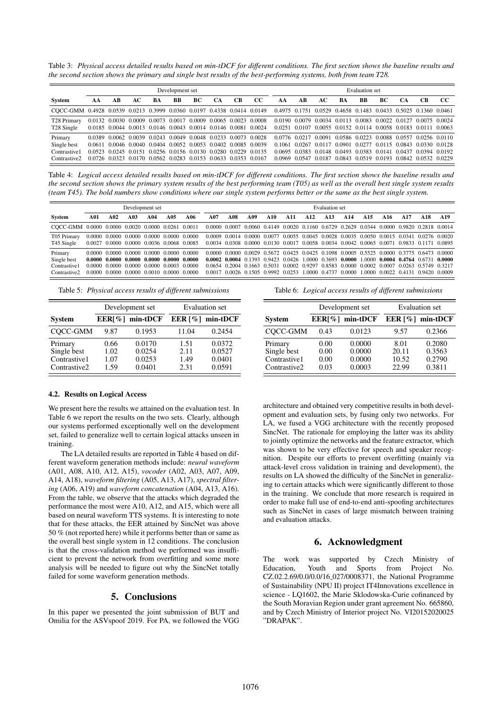Table 3: *Physical access detailed results based on min-tDCF for different conditions. The first section shows the baseline results and the second section shows the primary and single best results of the best-performing systems, both from team T28.*

|                                                                                                                                        |    | Development set |    |                                                                                                                                                                                                                                                                      |    |    |           |    | Evaluation set |    |    |                                              |    |    |    |                                                                                                                                                                                                                            |    |     |
|----------------------------------------------------------------------------------------------------------------------------------------|----|-----------------|----|----------------------------------------------------------------------------------------------------------------------------------------------------------------------------------------------------------------------------------------------------------------------|----|----|-----------|----|----------------|----|----|----------------------------------------------|----|----|----|----------------------------------------------------------------------------------------------------------------------------------------------------------------------------------------------------------------------------|----|-----|
| System                                                                                                                                 | AА | АB              | AС | BA                                                                                                                                                                                                                                                                   | BB | ВC | <b>CA</b> | CВ | CC             | AA | АB | AС                                           | BA | BB | ВC | CА                                                                                                                                                                                                                         | CВ | -CC |
| COCC-GMM 0.4928 0.0539 0.0213 0.3999 0.0360 0.0197 0.4338 0.0414 0.0149 0.4975 0.1751 0.0529 0.4658 0.1483 0.0433 0.5025 0.1360 0.0461 |    |                 |    |                                                                                                                                                                                                                                                                      |    |    |           |    |                |    |    |                                              |    |    |    |                                                                                                                                                                                                                            |    |     |
| T28 Primary<br>T <sub>28</sub> Single                                                                                                  |    |                 |    | 0.0132 0.0030 0.0009 0.0073 0.0017 0.0009 0.0065 0.0023 0.0008<br>0.0185 0.0044 0.0013 0.0146 0.0043 0.0014 0.0146 0.0081 0.0024                                                                                                                                     |    |    |           |    |                |    |    |                                              |    |    |    | 0.0190 0.0079 0.0034 0.0113 0.0083 0.0022 0.0127 0.0075 0.0024<br>0.0251 0.0107 0.0055 0.0152 0.0114 0.0058 0.0183 0.0111 0.0063                                                                                           |    |     |
| Primary<br>Single best<br>Contrastive1<br>Contrastive2                                                                                 |    |                 |    | 0.0389 0.0062 0.0039 0.0243 0.0049 0.0048 0.0233 0.0073 0.0028<br>0.0611 0.0046 0.0040 0.0404 0.0052 0.0053 0.0402 0.0085 0.0039<br>0.0523 0.0245 0.0151 0.0256 0.0156 0.0130 0.0280 0.0229 0.0135<br>0.0726 0.0323 0.0170 0.0562 0.0283 0.0153 0.0633 0.0353 0.0167 |    |    |           |    |                |    |    | 0.1061 0.0267 0.0117<br>0.0969 0.0547 0.0187 |    |    |    | 0.0776 0.0217 0.0091 0.0586 0.0223 0.0088 0.0557 0.0256 0.0110<br>0.0901 0.0277 0.0115 0.0843 0.0330 0.0128<br>0.0695 0.0383 0.0148 0.0493 0.0383 0.0141 0.0437 0.0394 0.0192<br>0.0843 0.0519 0.0193 0.0842 0.0532 0.0229 |    |     |

Table 4: *Logical access detailed results based on min-tDCF for different conditions. The first section shows the baseline results and the second section shows the primary system results of the best performing team (T05) as well as the overall best single system results (team T45). The bold numbers show conditions where our single system performs better or the same as the best single system.*

|                                                    | Development set  |     |                      |     |                                                                                                                | <b>Evaluation set</b> |     |     |     |     |     |                                                                                                                                                                                                                |                 |     |                 |      |     |      |     |
|----------------------------------------------------|------------------|-----|----------------------|-----|----------------------------------------------------------------------------------------------------------------|-----------------------|-----|-----|-----|-----|-----|----------------------------------------------------------------------------------------------------------------------------------------------------------------------------------------------------------------|-----------------|-----|-----------------|------|-----|------|-----|
| System                                             | A01              | A02 | A03                  | A04 | A05                                                                                                            | A06                   | A07 | A08 | A09 | A10 | A11 | A <sub>12</sub>                                                                                                                                                                                                | A <sub>13</sub> | A14 | A <sub>15</sub> | A 16 | A17 | A 18 | A19 |
| COCC-GMM 0.0000 0.0000 0.0020 0.0000 0.0261 0.0011 |                  |     |                      |     |                                                                                                                |                       |     |     |     |     |     | 0.0000 0.0007 0.0060 0.4149 0.0020 0.1160 0.6729 0.2629 0.0344 0.0000 0.9820 0.2818 0.0014                                                                                                                     |                 |     |                 |      |     |      |     |
| T05 Primary<br>T <sub>45</sub> Single              | 0.0000<br>0.0027 |     |                      |     | 0.0000 0.0000 0.0000 0.0000<br>0.0000 0.0000 0.0036 0.0068 0.0085                                              | 0.0000                |     |     |     |     |     | 0.0009 0.0014 0.0000 0.0077 0.0055 0.0045 0.0028 0.0035 0.0050 0.0015 0.0341 0.0276 0.0020<br>0.0034 0.0308 0.0000 0.0130 0.0017 0.0058 0.0034 0.0042 0.0065 0.0071 0.9833 0.1171 0.0895                       |                 |     |                 |      |     |      |     |
| Primary<br>Single best                             |                  |     |                      |     | $0.0000$ $0.0000$ $0.0000$ $0.0000$ $0.0000$ $0.0000$ $0.0000$<br>$0.0000$ $0.0000$ $0.0000$ $0.0000$ $0.0000$ | 0.0000                |     |     |     |     |     | 0.0000 0.0000 0.0029 0.5672 0.0425 0.0425 0.1098 0.0005 0.5525 0.0000 0.3775 0.6473 0.0000<br>$0.0002$ $0.0004$ $0.1393$ $0.9423$ $0.0426$ 1.0000 $0.3693$ $0.0000$ 1.0000 $0.0004$ $0.4764$ $0.6731$ $0.0000$ |                 |     |                 |      |     |      |     |
| Contrastive1<br>Contrastive <sub>2</sub>           | 0.0000<br>0.0000 |     | 0.0000 0.0000 0.0000 |     | 0.0003<br>0.0000 0.0000 0.0010 0.0000                                                                          | -0.0000<br>-0.0000    |     |     |     |     |     | 0.0654 0.2004 0.1663 0.5031 0.0002 0.9297 0.8583 0.0000 0.0002 0.0007 0.0263 0.5749 0.3217<br>0.0017 0.0026 0.1505 0.9992 0.0253 1.0000 0.4737 0.0000 1.0000 0.0022 0.4131 0.9420 0.0009                       |                 |     |                 |      |     |      |     |

Table 5: *Physical access results of different submissions*

|                                                        |                              | Development set                      | <b>Evaluation</b> set        |                                      |  |  |  |
|--------------------------------------------------------|------------------------------|--------------------------------------|------------------------------|--------------------------------------|--|--|--|
| <b>System</b>                                          |                              | $EER[%] min-tDCF$                    |                              | EER $[%]$ min-tDCF                   |  |  |  |
| COCC-GMM                                               | 9.87                         | 0.1953                               | 11.04                        | 0.2454                               |  |  |  |
| Primary<br>Single best<br>Contrastive1<br>Contrastive2 | 0.66<br>1.02<br>1.07<br>1.59 | 0.0170<br>0.0254<br>0.0253<br>0.0401 | 1.51<br>2.11<br>1.49<br>2.31 | 0.0372<br>0.0527<br>0.0401<br>0.0591 |  |  |  |

# 4.2. Results on Logical Access

We present here the results we attained on the evaluation test. In Table 6 we report the results on the two sets. Clearly, although our systems performed exceptionally well on the development set, failed to generalize well to certain logical attacks unseen in training.

The LA detailed results are reported in Table 4 based on different waveform generation methods include: *neural waveform* (A01, A08, A10, A12, A15), *vocoder* (A02, A03, A07, A09, A14, A18), *waveform filtering* (A05, A13, A17), *spectral filtering* (A06, A19) and *waveform concatenation* (A04, A13, A16). From the table, we observe that the attacks which degraded the performance the most were A10, A12, and A15, which were all based on neural waveform TTS systems. It is interesting to note that for these attacks, the EER attained by SincNet was above 50 % (not reported here) while it performs better than or same as the overall best single system in 12 conditions. The conclusion is that the cross-validation method we performed was insufficient to prevent the network from overfitting and some more analysis will be needed to figure out why the SincNet totally failed for some waveform generation methods.

# 5. Conclusions

In this paper we presented the joint submission of BUT and Omilia for the ASVspoof 2019. For PA, we followed the VGG Table 6: *Logical access results of different submissions*

|                                                        |                              | Development set                      | <b>Evaluation set</b>           |                                      |  |  |  |
|--------------------------------------------------------|------------------------------|--------------------------------------|---------------------------------|--------------------------------------|--|--|--|
| <b>System</b>                                          |                              | $EER[%] min-tDCF$                    |                                 | EER $\lceil \% \rceil$ min-tDCF      |  |  |  |
| COCC-GMM                                               | 0.43                         | 0.0123                               | 9.57                            | 0.2366                               |  |  |  |
| Primary<br>Single best<br>Contrastive1<br>Contrastive2 | 0.00<br>0.00<br>0.00<br>0.03 | 0.0000<br>0.0000<br>0.0000<br>0.0003 | 8.01<br>20.11<br>10.52<br>22.99 | 0.2080<br>0.3563<br>0.2790<br>0.3811 |  |  |  |

architecture and obtained very competitive results in both development and evaluation sets, by fusing only two networks. For LA, we fused a VGG architecture with the recently proposed SincNet. The rationale for employing the latter was its ability to jointly optimize the networks and the feature extractor, which was shown to be very effective for speech and speaker recognition. Despite our efforts to prevent overfitting (mainly via attack-level cross validation in training and development), the results on LA showed the difficulty of the SincNet in generalizing to certain attacks which were significantly different to those in the training. We conclude that more research is required in order to make full use of end-to-end anti-spoofing architectures such as SincNet in cases of large mismatch between training and evaluation attacks.

# 6. Acknowledgment

The work was supported by Czech Ministry of Education, Youth and Sports from Project No. CZ.02.2.69/0.0/0.0/16 027/0008371, the National Programme of Sustainability (NPU II) project IT4Innovations excellence in science - LQ1602, the Marie Sklodowska-Curie cofinanced by the South Moravian Region under grant agreement No. 665860, and by Czech Ministry of Interior project No. VI20152020025 "DRAPAK".